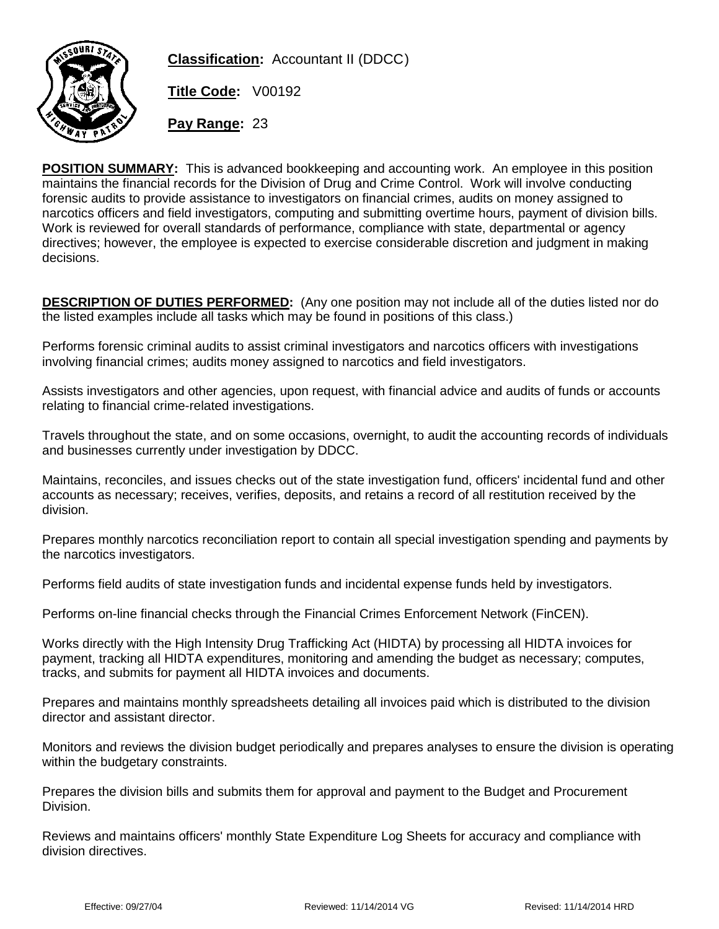

**Classification:** Accountant II (DDCC)

**Title Code:** V00192

**Pay Range:** 23

**POSITION SUMMARY:** This is advanced bookkeeping and accounting work. An employee in this position maintains the financial records for the Division of Drug and Crime Control. Work will involve conducting forensic audits to provide assistance to investigators on financial crimes, audits on money assigned to narcotics officers and field investigators, computing and submitting overtime hours, payment of division bills. Work is reviewed for overall standards of performance, compliance with state, departmental or agency directives; however, the employee is expected to exercise considerable discretion and judgment in making decisions.

**DESCRIPTION OF DUTIES PERFORMED:** (Any one position may not include all of the duties listed nor do the listed examples include all tasks which may be found in positions of this class.)

Performs forensic criminal audits to assist criminal investigators and narcotics officers with investigations involving financial crimes; audits money assigned to narcotics and field investigators.

Assists investigators and other agencies, upon request, with financial advice and audits of funds or accounts relating to financial crime-related investigations.

Travels throughout the state, and on some occasions, overnight, to audit the accounting records of individuals and businesses currently under investigation by DDCC.

Maintains, reconciles, and issues checks out of the state investigation fund, officers' incidental fund and other accounts as necessary; receives, verifies, deposits, and retains a record of all restitution received by the division.

Prepares monthly narcotics reconciliation report to contain all special investigation spending and payments by the narcotics investigators.

Performs field audits of state investigation funds and incidental expense funds held by investigators.

Performs on-line financial checks through the Financial Crimes Enforcement Network (FinCEN).

Works directly with the High Intensity Drug Trafficking Act (HIDTA) by processing all HIDTA invoices for payment, tracking all HIDTA expenditures, monitoring and amending the budget as necessary; computes, tracks, and submits for payment all HIDTA invoices and documents.

Prepares and maintains monthly spreadsheets detailing all invoices paid which is distributed to the division director and assistant director.

Monitors and reviews the division budget periodically and prepares analyses to ensure the division is operating within the budgetary constraints.

Prepares the division bills and submits them for approval and payment to the Budget and Procurement Division.

Reviews and maintains officers' monthly State Expenditure Log Sheets for accuracy and compliance with division directives.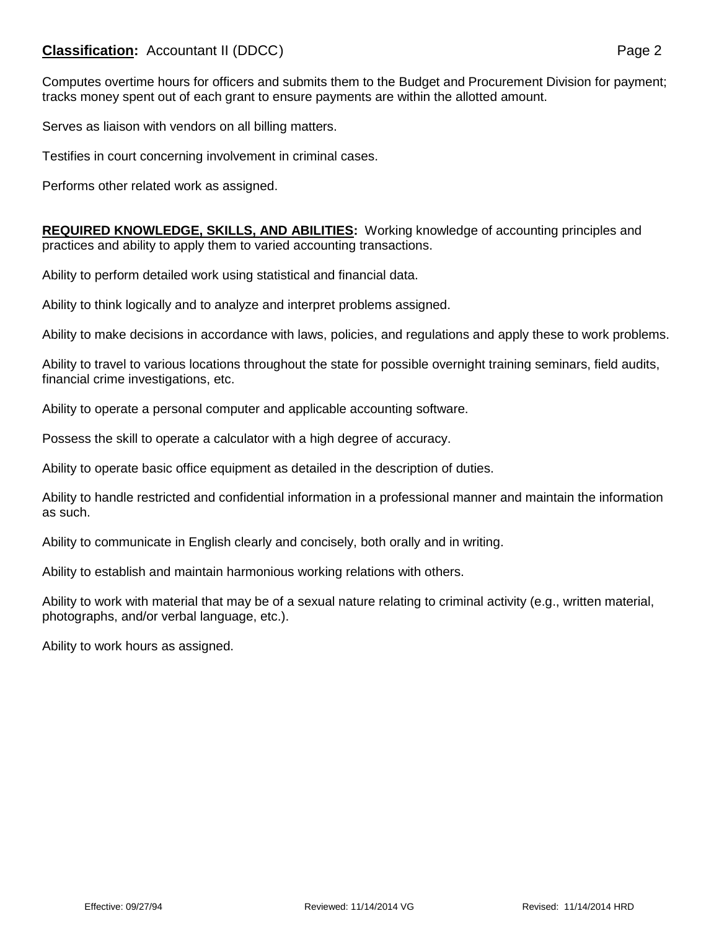## **Classification:** Accountant II (DDCC) **Page 2**

Computes overtime hours for officers and submits them to the Budget and Procurement Division for payment; tracks money spent out of each grant to ensure payments are within the allotted amount.

Serves as liaison with vendors on all billing matters.

Testifies in court concerning involvement in criminal cases.

Performs other related work as assigned.

**REQUIRED KNOWLEDGE, SKILLS, AND ABILITIES:** Working knowledge of accounting principles and practices and ability to apply them to varied accounting transactions.

Ability to perform detailed work using statistical and financial data.

Ability to think logically and to analyze and interpret problems assigned.

Ability to make decisions in accordance with laws, policies, and regulations and apply these to work problems.

Ability to travel to various locations throughout the state for possible overnight training seminars, field audits, financial crime investigations, etc.

Ability to operate a personal computer and applicable accounting software.

Possess the skill to operate a calculator with a high degree of accuracy.

Ability to operate basic office equipment as detailed in the description of duties.

Ability to handle restricted and confidential information in a professional manner and maintain the information as such.

Ability to communicate in English clearly and concisely, both orally and in writing.

Ability to establish and maintain harmonious working relations with others.

Ability to work with material that may be of a sexual nature relating to criminal activity (e.g., written material, photographs, and/or verbal language, etc.).

Ability to work hours as assigned.